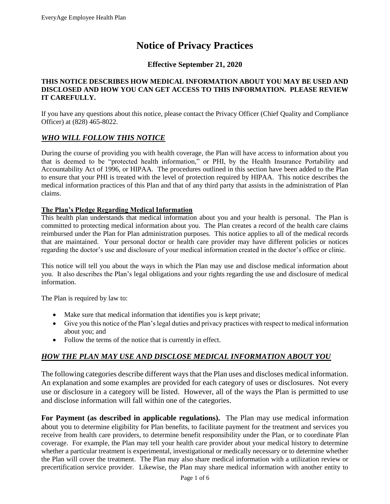# **Notice of Privacy Practices**

## **Effective September 21, 2020**

#### **THIS NOTICE DESCRIBES HOW MEDICAL INFORMATION ABOUT YOU MAY BE USED AND DISCLOSED AND HOW YOU CAN GET ACCESS TO THIS INFORMATION. PLEASE REVIEW IT CAREFULLY.**

If you have any questions about this notice, please contact the Privacy Officer (Chief Quality and Compliance Officer) at (828) 465-8022.

#### *WHO WILL FOLLOW THIS NOTICE*

During the course of providing you with health coverage, the Plan will have access to information about you that is deemed to be "protected health information," or PHI, by the Health Insurance Portability and Accountability Act of 1996, or HIPAA. The procedures outlined in this section have been added to the Plan to ensure that your PHI is treated with the level of protection required by HIPAA. This notice describes the medical information practices of this Plan and that of any third party that assists in the administration of Plan claims.

#### **The Plan's Pledge Regarding Medical Information**

This health plan understands that medical information about you and your health is personal. The Plan is committed to protecting medical information about you. The Plan creates a record of the health care claims reimbursed under the Plan for Plan administration purposes. This notice applies to all of the medical records that are maintained. Your personal doctor or health care provider may have different policies or notices regarding the doctor's use and disclosure of your medical information created in the doctor's office or clinic.

This notice will tell you about the ways in which the Plan may use and disclose medical information about you. It also describes the Plan's legal obligations and your rights regarding the use and disclosure of medical information.

The Plan is required by law to:

- Make sure that medical information that identifies you is kept private;
- Give you this notice of the Plan's legal duties and privacy practices with respect to medical information about you; and
- Follow the terms of the notice that is currently in effect.

# *HOW THE PLAN MAY USE AND DISCLOSE MEDICAL INFORMATION ABOUT YOU*

The following categories describe different ways that the Plan uses and discloses medical information. An explanation and some examples are provided for each category of uses or disclosures. Not every use or disclosure in a category will be listed. However, all of the ways the Plan is permitted to use and disclose information will fall within one of the categories.

**For Payment (as described in applicable regulations).** The Plan may use medical information about you to determine eligibility for Plan benefits, to facilitate payment for the treatment and services you receive from health care providers, to determine benefit responsibility under the Plan, or to coordinate Plan coverage. For example, the Plan may tell your health care provider about your medical history to determine whether a particular treatment is experimental, investigational or medically necessary or to determine whether the Plan will cover the treatment. The Plan may also share medical information with a utilization review or precertification service provider. Likewise, the Plan may share medical information with another entity to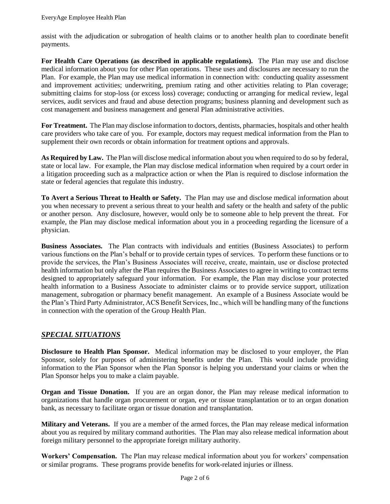assist with the adjudication or subrogation of health claims or to another health plan to coordinate benefit payments.

**For Health Care Operations (as described in applicable regulations).** The Plan may use and disclose medical information about you for other Plan operations. These uses and disclosures are necessary to run the Plan. For example, the Plan may use medical information in connection with: conducting quality assessment and improvement activities; underwriting, premium rating and other activities relating to Plan coverage; submitting claims for stop-loss (or excess loss) coverage; conducting or arranging for medical review, legal services, audit services and fraud and abuse detection programs; business planning and development such as cost management and business management and general Plan administrative activities.

**For Treatment.** The Plan may disclose information to doctors, dentists, pharmacies, hospitals and other health care providers who take care of you. For example, doctors may request medical information from the Plan to supplement their own records or obtain information for treatment options and approvals.

**As Required by Law.** The Plan will disclose medical information about you when required to do so by federal, state or local law. For example, the Plan may disclose medical information when required by a court order in a litigation proceeding such as a malpractice action or when the Plan is required to disclose information the state or federal agencies that regulate this industry.

**To Avert a Serious Threat to Health or Safety.** The Plan may use and disclose medical information about you when necessary to prevent a serious threat to your health and safety or the health and safety of the public or another person. Any disclosure, however, would only be to someone able to help prevent the threat. For example, the Plan may disclose medical information about you in a proceeding regarding the licensure of a physician.

**Business Associates.** The Plan contracts with individuals and entities (Business Associates) to perform various functions on the Plan's behalf or to provide certain types of services. To perform these functions or to provide the services, the Plan's Business Associates will receive, create, maintain, use or disclose protected health information but only after the Plan requires the Business Associates to agree in writing to contract terms designed to appropriately safeguard your information. For example, the Plan may disclose your protected health information to a Business Associate to administer claims or to provide service support, utilization management, subrogation or pharmacy benefit management. An example of a Business Associate would be the Plan's Third Party Administrator, ACS Benefit Services, Inc., which will be handling many of the functions in connection with the operation of the Group Health Plan.

# *SPECIAL SITUATIONS*

**Disclosure to Health Plan Sponsor.** Medical information may be disclosed to your employer, the Plan Sponsor, solely for purposes of administering benefits under the Plan. This would include providing information to the Plan Sponsor when the Plan Sponsor is helping you understand your claims or when the Plan Sponsor helps you to make a claim payable.

**Organ and Tissue Donation.** If you are an organ donor, the Plan may release medical information to organizations that handle organ procurement or organ, eye or tissue transplantation or to an organ donation bank, as necessary to facilitate organ or tissue donation and transplantation.

**Military and Veterans.** If you are a member of the armed forces, the Plan may release medical information about you as required by military command authorities. The Plan may also release medical information about foreign military personnel to the appropriate foreign military authority.

**Workers' Compensation.** The Plan may release medical information about you for workers' compensation or similar programs. These programs provide benefits for work-related injuries or illness.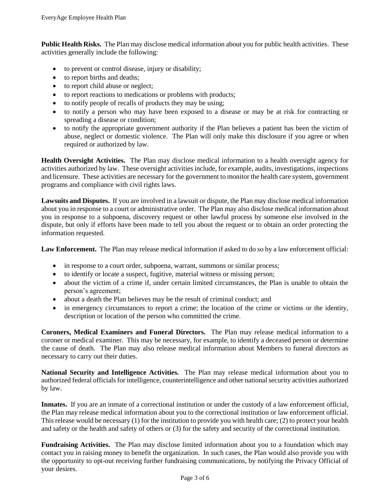**Public Health Risks.** The Plan may disclose medical information about you for public health activities. These activities generally include the following:

- to prevent or control disease, injury or disability;
- to report births and deaths;
- to report child abuse or neglect;
- to report reactions to medications or problems with products;
- to notify people of recalls of products they may be using;
- to notify a person who may have been exposed to a disease or may be at risk for contracting or spreading a disease or condition;
- to notify the appropriate government authority if the Plan believes a patient has been the victim of abuse, neglect or domestic violence. The Plan will only make this disclosure if you agree or when required or authorized by law.

**Health Oversight Activities.** The Plan may disclose medical information to a health oversight agency for activities authorized by law. These oversight activities include, for example, audits, investigations, inspections and licensure. These activities are necessary for the government to monitor the health care system, government programs and compliance with civil rights laws.

**Lawsuits and Disputes.** If you are involved in a lawsuit or dispute, the Plan may disclose medical information about you in response to a court or administrative order. The Plan may also disclose medical information about you in response to a subpoena, discovery request or other lawful process by someone else involved in the dispute, but only if efforts have been made to tell you about the request or to obtain an order protecting the information requested.

**Law Enforcement.** The Plan may release medical information if asked to do so by a law enforcement official:

- in response to a court order, subpoena, warrant, summons or similar process;
- to identify or locate a suspect, fugitive, material witness or missing person;
- about the victim of a crime if, under certain limited circumstances, the Plan is unable to obtain the person's agreement;
- about a death the Plan believes may be the result of criminal conduct; and
- in emergency circumstances to report a crime; the location of the crime or victims or the identity, description or location of the person who committed the crime.

**Coroners, Medical Examiners and Funeral Directors.** The Plan may release medical information to a coroner or medical examiner. This may be necessary, for example, to identify a deceased person or determine the cause of death. The Plan may also release medical information about Members to funeral directors as necessary to carry out their duties.

**National Security and Intelligence Activities.** The Plan may release medical information about you to authorized federal officials for intelligence, counterintelligence and other national security activities authorized by law.

**Inmates.** If you are an inmate of a correctional institution or under the custody of a law enforcement official, the Plan may release medical information about you to the correctional institution or law enforcement official. This release would be necessary (1) for the institution to provide you with health care; (2) to protect your health and safety or the health and safety of others or (3) for the safety and security of the correctional institution.

**Fundraising Activities.** The Plan may disclose limited information about you to a foundation which may contact you in raising money to benefit the organization. In such cases, the Plan would also provide you with the opportunity to opt-out receiving further fundraising communications, by notifying the Privacy Official of your desires.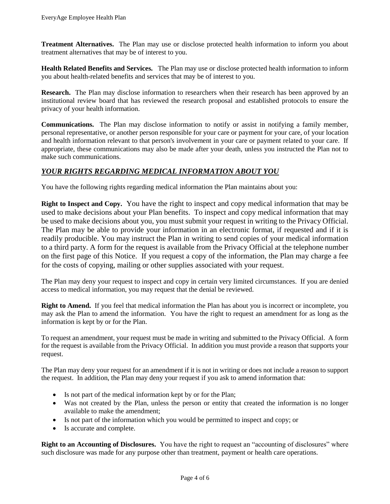**Treatment Alternatives.** The Plan may use or disclose protected health information to inform you about treatment alternatives that may be of interest to you.

**Health Related Benefits and Services.** The Plan may use or disclose protected health information to inform you about health-related benefits and services that may be of interest to you.

**Research.** The Plan may disclose information to researchers when their research has been approved by an institutional review board that has reviewed the research proposal and established protocols to ensure the privacy of your health information.

**Communications.** The Plan may disclose information to notify or assist in notifying a family member, personal representative, or another person responsible for your care or payment for your care, of your location and health information relevant to that person's involvement in your care or payment related to your care. If appropriate, these communications may also be made after your death, unless you instructed the Plan not to make such communications.

#### *YOUR RIGHTS REGARDING MEDICAL INFORMATION ABOUT YOU*

You have the following rights regarding medical information the Plan maintains about you:

**Right to Inspect and Copy.** You have the right to inspect and copy medical information that may be used to make decisions about your Plan benefits. To inspect and copy medical information that may be used to make decisions about you, you must submit your request in writing to the Privacy Official. The Plan may be able to provide your information in an electronic format, if requested and if it is readily producible. You may instruct the Plan in writing to send copies of your medical information to a third party. A form for the request is available from the Privacy Official at the telephone number on the first page of this Notice. If you request a copy of the information, the Plan may charge a fee for the costs of copying, mailing or other supplies associated with your request.

The Plan may deny your request to inspect and copy in certain very limited circumstances. If you are denied access to medical information, you may request that the denial be reviewed.

**Right to Amend.** If you feel that medical information the Plan has about you is incorrect or incomplete, you may ask the Plan to amend the information. You have the right to request an amendment for as long as the information is kept by or for the Plan.

To request an amendment, your request must be made in writing and submitted to the Privacy Official. A form for the request is available from the Privacy Official. In addition you must provide a reason that supports your request.

The Plan may deny your request for an amendment if it is not in writing or does not include a reason to support the request. In addition, the Plan may deny your request if you ask to amend information that:

- Is not part of the medical information kept by or for the Plan;
- Was not created by the Plan, unless the person or entity that created the information is no longer available to make the amendment;
- Is not part of the information which you would be permitted to inspect and copy; or
- Is accurate and complete.

**Right to an Accounting of Disclosures.** You have the right to request an "accounting of disclosures" where such disclosure was made for any purpose other than treatment, payment or health care operations.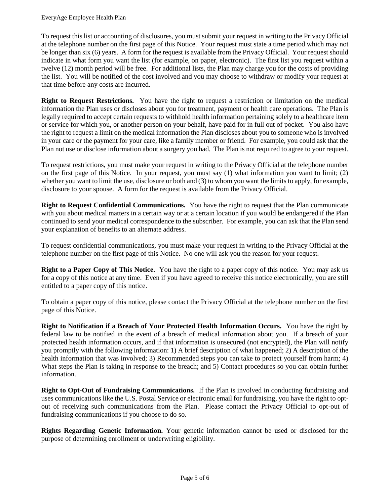To request this list or accounting of disclosures, you must submit your request in writing to the Privacy Official at the telephone number on the first page of this Notice. Your request must state a time period which may not be longer than six (6) years. A form for the request is available from the Privacy Official. Your request should indicate in what form you want the list (for example, on paper, electronic). The first list you request within a twelve (12) month period will be free. For additional lists, the Plan may charge you for the costs of providing the list. You will be notified of the cost involved and you may choose to withdraw or modify your request at that time before any costs are incurred.

**Right to Request Restrictions.** You have the right to request a restriction or limitation on the medical information the Plan uses or discloses about you for treatment, payment or health care operations. The Plan is legally required to accept certain requests to withhold health information pertaining solely to a healthcare item or service for which you, or another person on your behalf, have paid for in full out of pocket. You also have the right to request a limit on the medical information the Plan discloses about you to someone who is involved in your care or the payment for your care, like a family member or friend. For example, you could ask that the Plan not use or disclose information about a surgery you had. The Plan is not required to agree to your request.

To request restrictions, you must make your request in writing to the Privacy Official at the telephone number on the first page of this Notice. In your request, you must say (1) what information you want to limit; (2) whether you want to limit the use, disclosure or both and (3) to whom you want the limits to apply, for example, disclosure to your spouse. A form for the request is available from the Privacy Official.

**Right to Request Confidential Communications.** You have the right to request that the Plan communicate with you about medical matters in a certain way or at a certain location if you would be endangered if the Plan continued to send your medical correspondence to the subscriber. For example, you can ask that the Plan send your explanation of benefits to an alternate address.

To request confidential communications, you must make your request in writing to the Privacy Official at the telephone number on the first page of this Notice. No one will ask you the reason for your request.

**Right to a Paper Copy of This Notice.** You have the right to a paper copy of this notice. You may ask us for a copy of this notice at any time. Even if you have agreed to receive this notice electronically, you are still entitled to a paper copy of this notice.

To obtain a paper copy of this notice, please contact the Privacy Official at the telephone number on the first page of this Notice.

**Right to Notification if a Breach of Your Protected Health Information Occurs.** You have the right by federal law to be notified in the event of a breach of medical information about you. If a breach of your protected health information occurs, and if that information is unsecured (not encrypted), the Plan will notify you promptly with the following information: 1) A brief description of what happened; 2) A description of the health information that was involved; 3) Recommended steps you can take to protect yourself from harm; 4) What steps the Plan is taking in response to the breach; and 5) Contact procedures so you can obtain further information.

**Right to Opt-Out of Fundraising Communications.** If the Plan is involved in conducting fundraising and uses communications like the U.S. Postal Service or electronic email for fundraising, you have the right to optout of receiving such communications from the Plan. Please contact the Privacy Official to opt-out of fundraising communications if you choose to do so.

**Rights Regarding Genetic Information.** Your genetic information cannot be used or disclosed for the purpose of determining enrollment or underwriting eligibility.